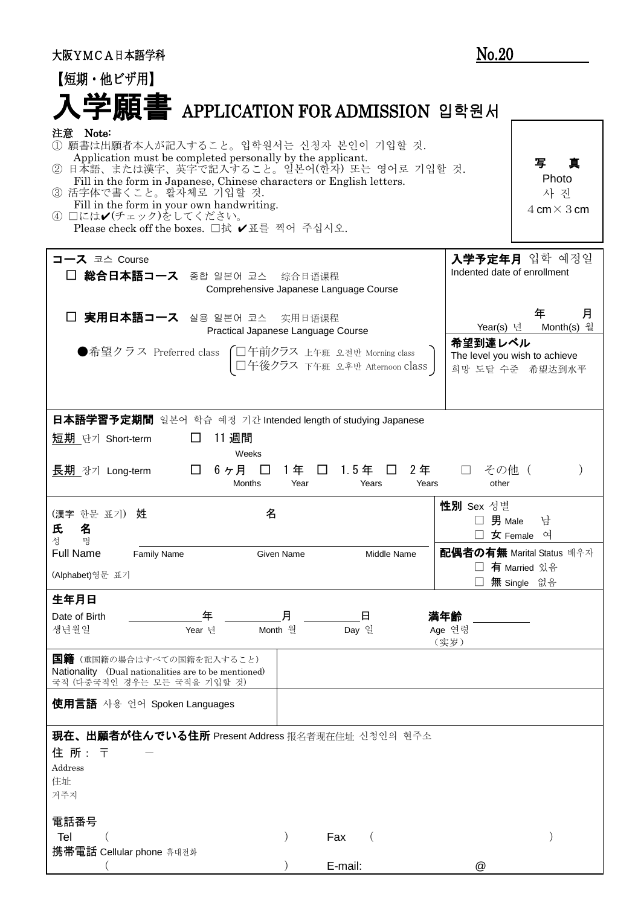| 大阪YMCA日本語学科                                                                                                                                                                                                                                                                                                                                                                            |              |                                                                  | No.20                            |                                                                          |
|----------------------------------------------------------------------------------------------------------------------------------------------------------------------------------------------------------------------------------------------------------------------------------------------------------------------------------------------------------------------------------------|--------------|------------------------------------------------------------------|----------------------------------|--------------------------------------------------------------------------|
| 【短期・他ビザ用】                                                                                                                                                                                                                                                                                                                                                                              |              |                                                                  |                                  |                                                                          |
| 入学願書 APPLICATION FOR ADMISSION 입학원서                                                                                                                                                                                                                                                                                                                                                    |              |                                                                  |                                  |                                                                          |
| 注意 Note:<br>① 願書は出願者本人が記入すること。입학원서는 신청자 본인이 기입할 것.<br>Application must be completed personally by the applicant.<br>② 日本語、または漢字、英字で記入すること。일본어(한자) 또는 영어로 기입할 것.<br>Fill in the form in Japanese, Chinese characters or English letters.<br>③ 活字体で書くこと。활자체로 기입할 것.<br>Fill in the form in your own handwriting.<br>4 □には✔(チェック)をしてください。<br>Please check off the boxes. □拭 ✔ 표를 찍어 주십시오. |              |                                                                  |                                  | 写<br>亘<br>Photo<br>사 진<br>$4 \text{ cm} \times 3 \text{ cm}$             |
| コース 코스 Course<br>総合日本語コース 종합 일본어 코스 综合日语课程<br>Comprehensive Japanese Language Course                                                                                                                                                                                                                                                                                                   |              |                                                                  | Indented date of enrollment      | 入学予定年月 입학 예정일                                                            |
| 実用日本語コース 실용 일본어 코스 实用日语课程<br>Practical Japanese Language Course<br>●希望クラス Preferred class                                                                                                                                                                                                                                                                                              |              | ○ 口午前クラス 上午班 오전반 Morning class<br>□午後クラス 下午班 오후반 Afternoon class | Year(s) 년<br>希望到達レベル             | 月<br>年<br>Month(s) 월<br>The level you wish to achieve<br>희망 도달 수준 希望达到水平 |
| 日本語学習予定期間 일본어 학습 예정 기간 Intended length of studying Japanese                                                                                                                                                                                                                                                                                                                            |              |                                                                  |                                  |                                                                          |
| 11 週間<br>短期 단기 Short-term<br>□<br>Weeks                                                                                                                                                                                                                                                                                                                                                |              |                                                                  |                                  |                                                                          |
| 6ヶ月 口<br>$\Box$<br>長期 장기 Long-term<br><b>Months</b>                                                                                                                                                                                                                                                                                                                                    | 1年 □<br>Year | 2年<br>1.5年 □<br>Years                                            | その他(<br>$\Box$<br>Years<br>other |                                                                          |
| (漢字 한문 표기) 姓<br>名<br>氏名<br>성<br>명                                                                                                                                                                                                                                                                                                                                                      |              |                                                                  | 性別 Sex 성별<br>$\square$ 男 Male    | 남<br>女 Female<br>여                                                       |
| <b>Full Name</b><br><b>Family Name</b>                                                                                                                                                                                                                                                                                                                                                 | Given Name   | Middle Name                                                      |                                  | 配偶者の有無 Marital Status 배우자<br>有 Married 있음                                |
| (Alphabet)영문 표기                                                                                                                                                                                                                                                                                                                                                                        |              |                                                                  |                                  | 無 Single 없음                                                              |
| 生年月日                                                                                                                                                                                                                                                                                                                                                                                   |              |                                                                  |                                  |                                                                          |
| 年<br>Date of Birth<br>생년월일<br>Year 년                                                                                                                                                                                                                                                                                                                                                   | Ħ<br>Month 월 | 日<br>Day 일                                                       | 満年齢<br>Age 연령<br>(实岁)            |                                                                          |
| <b>国籍</b> (重国籍の場合はすべての国籍を記入すること)<br>Nationality (Dual nationalities are to be mentioned)<br>국적 (다중국적인 경우는 모든 국적을 기입할 것)                                                                                                                                                                                                                                                                |              |                                                                  |                                  |                                                                          |
| 使用言語 사용 언어 Spoken Languages                                                                                                                                                                                                                                                                                                                                                            |              |                                                                  |                                  |                                                                          |
| 現在、出願者が住んでいる住所 Present Address 报名者现在住址 신청인의 현주소<br>住 所 : 〒<br>Address<br>住址<br>거주지                                                                                                                                                                                                                                                                                                     |              |                                                                  |                                  |                                                                          |
| 電話番号<br>Tel<br>携帯電話 Cellular phone 휴대전화                                                                                                                                                                                                                                                                                                                                                |              | Fax<br>E-mail:                                                   | @                                |                                                                          |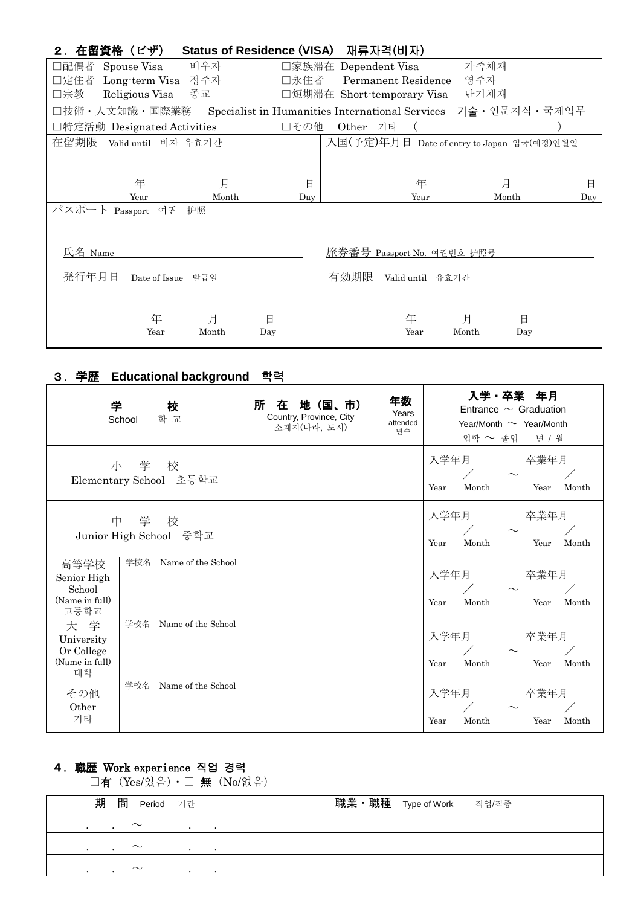| 2.在留資格(ビザ)       |                             |       | <b>Status of Residence (VISA)</b>               |                      | 재류자격(비자)                   |                                            |                  |
|------------------|-----------------------------|-------|-------------------------------------------------|----------------------|----------------------------|--------------------------------------------|------------------|
| □配偶者 Spouse Visa |                             | 배우자   |                                                 | □家族滞在 Dependent Visa |                            | 가족체재                                       |                  |
|                  | □定住者 Long-term Visa 정주자     |       | 口永住者                                            |                      | Permanent Residence        | 영주자                                        |                  |
| □宗教              | Religious Visa 종교           |       |                                                 |                      | □短期滞在 Short-temporary Visa | 단기체재                                       |                  |
|                  | □技術・人文知識・国際業務               |       | Specialist in Humanities International Services |                      |                            |                                            | 기술 · 인문지식 · 국제업무 |
|                  | □特定活動 Designated Activities |       | □その他                                            | Other                | 기타                         |                                            |                  |
| 在留期限             | Valid until 비자 유효기간         |       |                                                 |                      |                            | 入国(予定)年月日 Date of entry to Japan 입국(예정)연월일 |                  |
|                  |                             |       |                                                 |                      |                            |                                            |                  |
|                  | 年                           | 月     | 日                                               |                      | 年                          | 月                                          | 日                |
|                  | Year                        | Month | Day                                             |                      | Year                       | Month                                      | Day              |
| パスポー             | Passport 여권                 | 护照    |                                                 |                      |                            |                                            |                  |
| 氏名 Name          |                             |       |                                                 |                      | 旅券番号 Passport No. 여권번호 护照号 |                                            |                  |
| 発行年月日            | Date of Issue               | 발급일   |                                                 | 有効期限                 | Valid until 유효기간           |                                            |                  |
|                  | 年                           | 月     | 日                                               |                      | 年                          | 月                                          | 日                |
|                  | Year                        | Month | Day                                             |                      | Year                       | Month                                      | Day              |

#### 3.学歴 **Educational background** 학력

| 学                                                       | 校<br>학 교<br>School              | 在 地 (国、市)<br>所<br>Country, Province, City<br>소재지(나라, 도시) | 年数<br>Years<br>attended<br>년수 | 入学 卒業 年月<br>Entrance $\sim$ Graduation<br>Year/Month $\sim$ Year/Month<br>입학 ~ 졸업 년 / 월 |
|---------------------------------------------------------|---------------------------------|----------------------------------------------------------|-------------------------------|-----------------------------------------------------------------------------------------|
|                                                         | 小 学 校<br>Elementary School 초등학교 |                                                          |                               | 入学年月<br>卒業年月<br>$\sqrt{2}$<br>Month<br>Month<br>Year<br>Year                            |
|                                                         | 中 学 校<br>Junior High School 중학교 |                                                          |                               | 入学年月<br>卒業年月<br>$\sqrt{2}$<br>Month<br>Month<br>Year<br>Year                            |
| 高等学校<br>Senior High<br>School<br>(Name in full)<br>고등학교 | 学校名 Name of the School          |                                                          |                               | 入学年月<br>卒業年月<br>$\sim$<br>Year<br>Month<br>Month<br>Year                                |
| 大 学<br>University<br>Or College<br>(Name in full)<br>대학 | 学校名<br>Name of the School       |                                                          |                               | 入学年月<br>卒業年月<br>$\sim$<br>Month<br>Year<br>Month<br>Year                                |
| その他<br>Other<br>기타                                      | Name of the School<br>学校名       |                                                          |                               | 入学年月<br>卒業年月<br>Month<br>Year<br>Month<br>Year                                          |

#### 4.職歴 Work experience 직업 경력

□有 (Yes/있음) · □ 無 (No/없음)

| 期<br>間<br>Period 기간 | 職業・職種 Type of Work<br>직업/직종 |
|---------------------|-----------------------------|
| $\sim$              |                             |
| $\sim$<br>$\cdot$   |                             |
| $\sim$              |                             |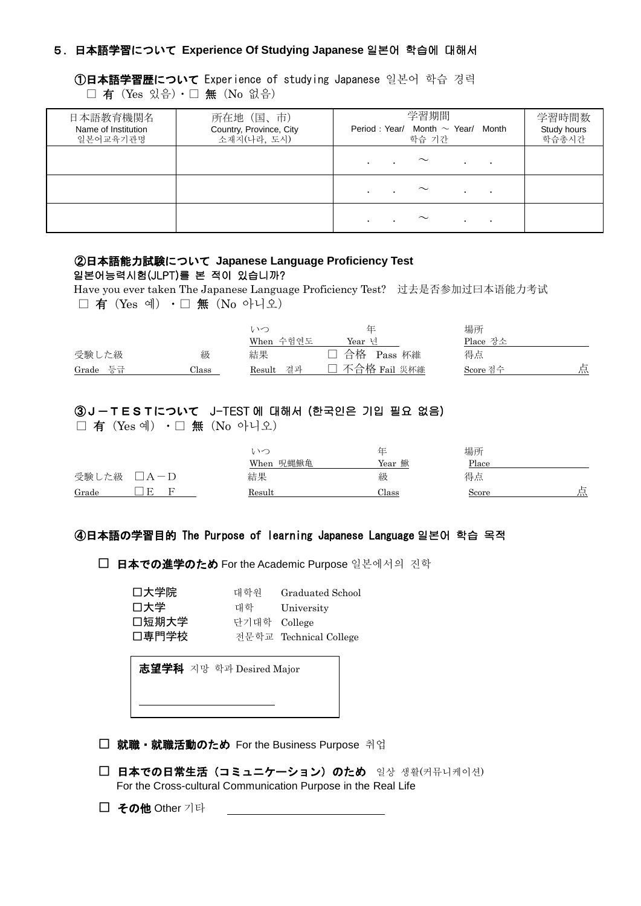## 5.日本語学習について **Experience Of Studying Japanese** 일본어 학습에 대해서

①日本語学習歴について Experience of studying Japanese 일본어 학습 경력 □ 有 (Yes 있음) · □ 無 (No 없음)

| 日本語教育機関名<br>Name of Institution<br>일본어교육기관명 | 所在地 (国、市)<br>Country, Province, City<br>소재지(나라, 도시) | 学習期間<br>Period: Year/ Month $\sim$ Year/<br>Month<br>학습 기간 | 学習時間数<br>Study hours<br>학습총시간 |
|---------------------------------------------|-----------------------------------------------------|------------------------------------------------------------|-------------------------------|
|                                             |                                                     | $\sim$<br>$\bullet$<br>$\bullet$<br>$\bullet$              |                               |
|                                             |                                                     | $\sim$<br>$\bullet$<br>$\bullet$                           |                               |
|                                             |                                                     | $\sim$<br>$\bullet$                                        |                               |

## ②日本語能力試験について **Japanese Language Proficiency Test** 일본어능력시험(JLPT)를 본 적이 있습니까?

 Have you ever taken The Japanese Language Proficiency Test? 过去是否参加过曰本语能力考试 □ 有 (Yes 예) · □ 無 (No 아니오)

|          |       | いつ           | 仕              | 場所       |   |
|----------|-------|--------------|----------------|----------|---|
|          |       | When 수험연도    | Year 년         | Place 장소 |   |
| 受験した級    | 級     | 結果           | 合格 Pass 杯維     | 得点       |   |
| Grade 등급 | Class | 결과<br>Result | □ 不合格 Fail 災杯維 | Score 점수 | 点 |

# ③J-TESTについて J-TEST 에 대해서 (한국인은 기입 필요 없음)

□ 有 (Yes 예) · □ 無 (No 아니오)

|                       | いへ<br>When 呪蝿鰍亀 | 仕<br>Year 鰍 | 場所<br>Place |   |
|-----------------------|-----------------|-------------|-------------|---|
| 受験した級<br>$\Box A - D$ | 結果              | 級           | 得点          |   |
| Grade                 | Result          | Class       | Score       | 点 |

#### ④日本語の学習目的 The Purpose of learning Japanese Language 일본어 학습 목적

□ 日本での進学のため For the Academic Purpose 일본에서의 진학

| 口大学院  | 대학원          | Graduated School       |
|-------|--------------|------------------------|
| 口大学   | 대학           | University             |
| 口短期大学 | 단기대학 College |                        |
| 口専門学校 |              | 전문학교 Technical College |

志望学科 지망 학과 Desired Major

- □ 就職・就職活動のため For the Business Purpose 취업
- □ 日本での日常生活 (コミュニケーション) のため 일상 생활(커뮤니케이션) For the Cross-cultural Communication Purpose in the Real Life
- □ その他 Other 기타